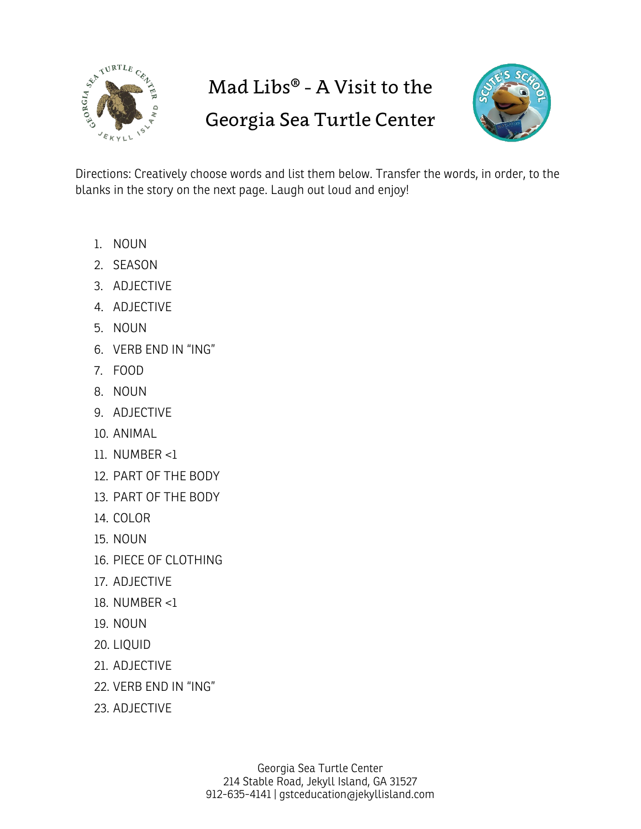

## Mad Libs® - A Visit to the

## Georgia Sea Turtle Center



Directions: Creatively choose words and list them below. Transfer the words, in order, to the blanks in the story on the next page. Laugh out loud and enjoy!

- 1. NOUN
- 2. SEASON
- 3. ADJECTIVE
- 4. ADJECTIVE
- 5. NOUN
- 6. VERB END IN "ING"
- 7. FOOD
- 8. NOUN
- 9. ADJECTIVE
- 10. ANIMAL
- 11. NUMBER <1
- 12. PART OF THE BODY
- 13. PART OF THE BODY
- 14. COLOR
- 15. NOUN
- 16. PIECE OF CLOTHING
- 17. ADJECTIVE
- 18. NUMBER <1
- 19. NOUN
- 20. LIQUID
- 21. ADJECTIVE
- 22. VERB END IN "ING"
- 23. ADJECTIVE